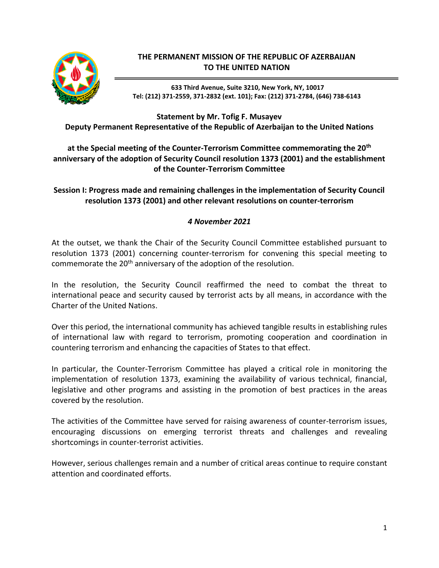

# **THE PERMANENT MISSION OF THE REPUBLIC OF AZERBAIJAN TO THE UNITED NATION**

**633 Third Avenue, Suite 3210, New York, NY, 10017 Tel: (212) 371-2559, 371-2832 (ext. 101); Fax: (212) 371-2784, (646) 738-6143**

#### **Statement by Mr. Tofig F. Musayev Deputy Permanent Representative of the Republic of Azerbaijan to the United Nations**

# **at the Special meeting of the Counter-Terrorism Committee commemorating the 20th anniversary of the adoption of Security Council resolution 1373 (2001) and the establishment of the Counter-Terrorism Committee**

#### **Session I: Progress made and remaining challenges in the implementation of Security Council resolution 1373 (2001) and other relevant resolutions on counter-terrorism**

# *4 November 2021*

At the outset, we thank the Chair of the Security Council Committee established pursuant to resolution 1373 (2001) concerning counter-terrorism for convening this special meeting to commemorate the 20<sup>th</sup> anniversary of the adoption of the resolution.

In the resolution, the Security Council reaffirmed the need to combat the threat to international peace and security caused by terrorist acts by all means, in accordance with the Charter of the United Nations.

Over this period, the international community has achieved tangible results in establishing rules of international law with regard to terrorism, promoting cooperation and coordination in countering terrorism and enhancing the capacities of States to that effect.

In particular, the Counter-Terrorism Committee has played a critical role in monitoring the implementation of resolution 1373, examining the availability of various technical, financial, legislative and other programs and assisting in the promotion of best practices in the areas covered by the resolution.

The activities of the Committee have served for raising awareness of counter-terrorism issues, encouraging discussions on emerging terrorist threats and challenges and revealing shortcomings in counter-terrorist activities.

However, serious challenges remain and a number of critical areas continue to require constant attention and coordinated efforts.